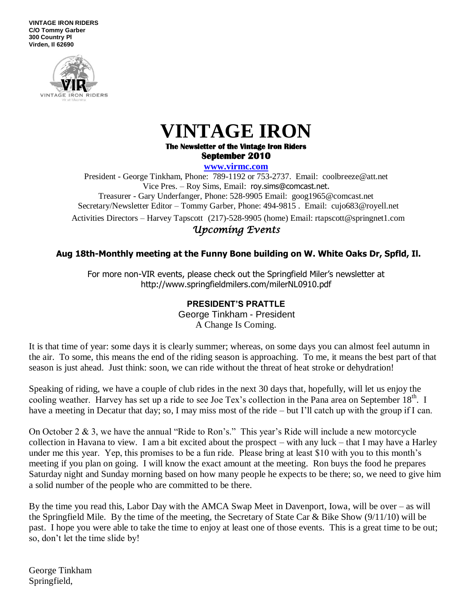**VINTAGE IRON RIDERS C/O Tommy Garber 300 Country Pl Virden, Il 62690**



# **VINTAGE IRON**

#### **The Newsletter of the Vintage Iron Riders September 2010**

**www.virmc.com** 

President - George Tinkham, Phone: 789-1192 or 753-2737. Email: coolbreeze@att.net Vice Pres. – Roy Sims, Email: [roy.sims@comcast.net.](mailto:roy.sims@comcast.net) Treasurer - Gary Underfanger, Phone: 528-9905 Email: goog1965@comcast.net Secretary/Newsletter Editor – Tommy Garber, Phone: 494-9815 . Email: cujo683@royell.net Activities Directors – Harvey Tapscott (217)-528-9905 (home) Email: rtapscott@springnet1.com

# *Upcoming Events*

## **Aug 18th-Monthly meeting at the Funny Bone building on W. White Oaks Dr, Spfld, Il.**

For more non-VIR events, please check out the Springfield Miler's newsletter at http://www.springfieldmilers.com/milerNL0910.pdf

#### **PRESIDENT'S PRATTLE**

 George Tinkham - President A Change Is Coming.

It is that time of year: some days it is clearly summer; whereas, on some days you can almost feel autumn in the air. To some, this means the end of the riding season is approaching. To me, it means the best part of that season is just ahead. Just think: soon, we can ride without the threat of heat stroke or dehydration!

Speaking of riding, we have a couple of club rides in the next 30 days that, hopefully, will let us enjoy the cooling weather. Harvey has set up a ride to see Joe Tex's collection in the Pana area on September 18<sup>th</sup>. I have a meeting in Decatur that day; so, I may miss most of the ride – but I'll catch up with the group if I can.

On October 2  $\&$  3, we have the annual "Ride to Ron's." This year's Ride will include a new motorcycle collection in Havana to view. I am a bit excited about the prospect – with any luck – that I may have a Harley under me this year. Yep, this promises to be a fun ride. Please bring at least \$10 with you to this month's meeting if you plan on going. I will know the exact amount at the meeting. Ron buys the food he prepares Saturday night and Sunday morning based on how many people he expects to be there; so, we need to give him a solid number of the people who are committed to be there.

By the time you read this, Labor Day with the AMCA Swap Meet in Davenport, Iowa, will be over – as will the Springfield Mile. By the time of the meeting, the Secretary of State Car & Bike Show  $(9/11/10)$  will be past. I hope you were able to take the time to enjoy at least one of those events. This is a great time to be out; so, don't let the time slide by!

George Tinkham Springfield,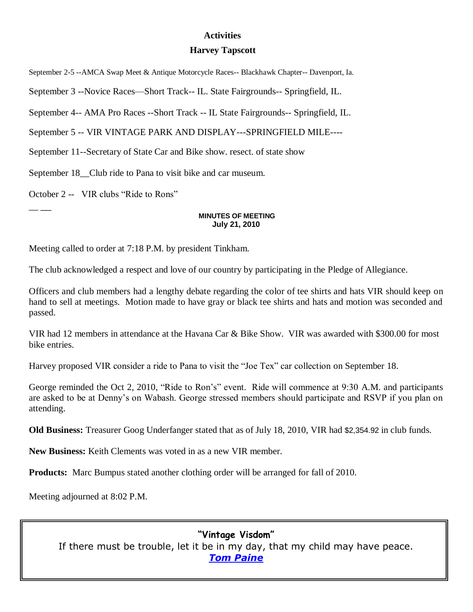#### **Activities**

#### **Harvey Tapscott**

September 2-5 --AMCA Swap Meet & Antique Motorcycle Races-- Blackhawk Chapter-- Davenport, Ia.

September 3 --Novice Races—Short Track-- IL. State Fairgrounds-- Springfield, IL.

September 4-- AMA Pro Races --Short Track -- IL State Fairgrounds-- Springfield, IL.

September 5 -- VIR VINTAGE PARK AND DISPLAY---SPRINGFIELD MILE----

September 11--Secretary of State Car and Bike show. resect. of state show

September 18 Club ride to Pana to visit bike and car museum.

October 2 -- VIR clubs "Ride to Rons"

\_\_ \_\_

#### **MINUTES OF MEETING July 21, 2010**

Meeting called to order at 7:18 P.M. by president Tinkham.

The club acknowledged a respect and love of our country by participating in the Pledge of Allegiance.

Officers and club members had a lengthy debate regarding the color of tee shirts and hats VIR should keep on hand to sell at meetings. Motion made to have gray or black tee shirts and hats and motion was seconded and passed.

VIR had 12 members in attendance at the Havana Car & Bike Show. VIR was awarded with \$300.00 for most bike entries.

Harvey proposed VIR consider a ride to Pana to visit the "Joe Tex" car collection on September 18.

George reminded the Oct 2, 2010, "Ride to Ron's" event. Ride will commence at 9:30 A.M. and participants are asked to be at Denny's on Wabash. George stressed members should participate and RSVP if you plan on attending.

**Old Business:** Treasurer Goog Underfanger stated that as of July 18, 2010, VIR had \$2,354.92 in club funds.

**New Business:** Keith Clements was voted in as a new VIR member.

**Products:** Marc Bumpus stated another clothing order will be arranged for fall of 2010.

Meeting adjourned at 8:02 P.M.

**"Vintage Visdom"** If there must be trouble, let it be in my day, that my child may have peace. *[Tom Paine](http://www.rightwingnews.com/quotes/revolution.php)*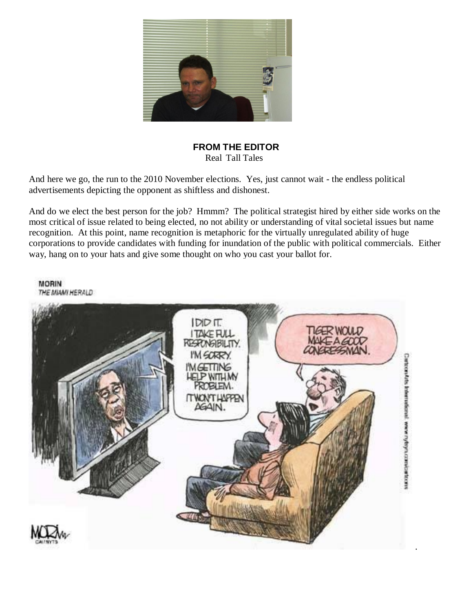

#### **FROM THE EDITOR** Real Tall Tales

And here we go, the run to the 2010 November elections. Yes, just cannot wait - the endless political advertisements depicting the opponent as shiftless and dishonest.

And do we elect the best person for the job? Hmmm? The political strategist hired by either side works on the most critical of issue related to being elected, no not ability or understanding of vital societal issues but name recognition. At this point, name recognition is metaphoric for the virtually unregulated ability of huge corporations to provide candidates with funding for inundation of the public with political commercials. Either way, hang on to your hats and give some thought on who you cast your ballot for.

**MORIN** THE MIAMI HERALD



.